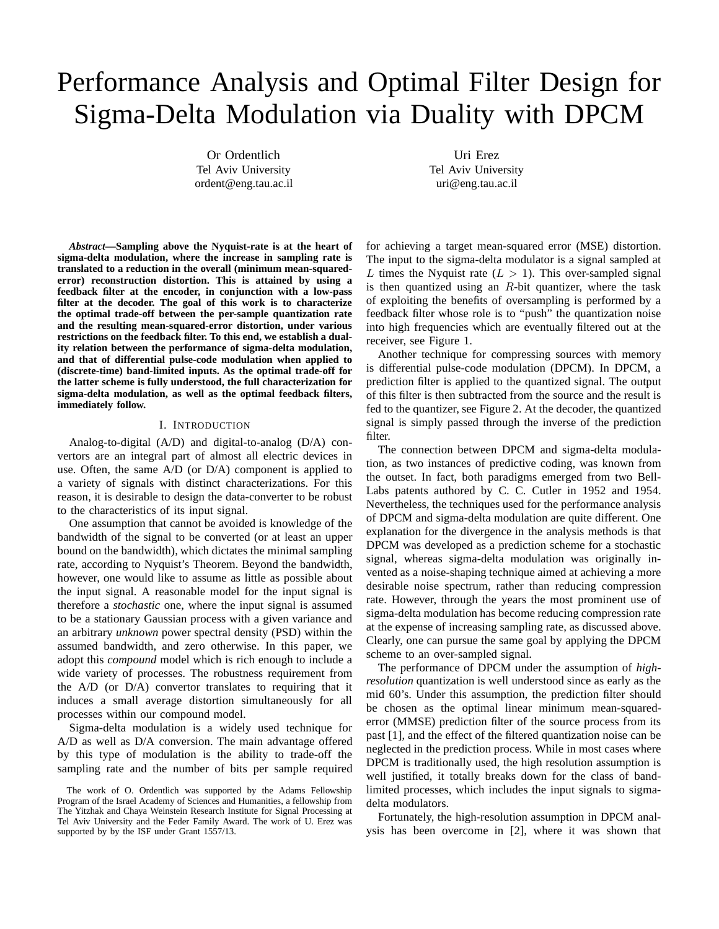# Performance Analysis and Optimal Filter Design for Sigma-Delta Modulation via Duality with DPCM

Or Ordentlich Tel Aviv University ordent@eng.tau.ac.il

Uri Erez Tel Aviv University uri@eng.tau.ac.il

*Abstract***—Sampling above the Nyquist-rate is at the heart of sigma-delta modulation, where the increase in sampling rate is translated to a reduction in the overall (minimum mean-squarederror) reconstruction distortion. This is attained by using a feedback filter at the encoder, in conjunction with a low-pass filter at the decoder. The goal of this work is to characterize the optimal trade-off between the per-sample quantization rate and the resulting mean-squared-error distortion, under various restrictions on the feedback filter. To this end, we establish a duality relation between the performance of sigma-delta modulation, and that of differential pulse-code modulation when applied to (discrete-time) band-limited inputs. As the optimal trade-off for the latter scheme is fully understood, the full characterization for sigma-delta modulation, as well as the optimal feedback filters, immediately follow.**

### I. INTRODUCTION

Analog-to-digital (A/D) and digital-to-analog (D/A) convertors are an integral part of almost all electric devices in use. Often, the same A/D (or D/A) component is applied to a variety of signals with distinct characterizations. For this reason, it is desirable to design the data-converter to be robust to the characteristics of its input signal.

One assumption that cannot be avoided is knowledge of the bandwidth of the signal to be converted (or at least an upper bound on the bandwidth), which dictates the minimal sampling rate, according to Nyquist's Theorem. Beyond the bandwidth, however, one would like to assume as little as possible about the input signal. A reasonable model for the input signal is therefore a *stochastic* one, where the input signal is assumed to be a stationary Gaussian process with a given variance and an arbitrary *unknown* power spectral density (PSD) within the assumed bandwidth, and zero otherwise. In this paper, we adopt this *compound* model which is rich enough to include a wide variety of processes. The robustness requirement from the A/D (or D/A) convertor translates to requiring that it induces a small average distortion simultaneously for all processes within our compound model.

Sigma-delta modulation is a widely used technique for A/D as well as D/A conversion. The main advantage offered by this type of modulation is the ability to trade-off the sampling rate and the number of bits per sample required

for achieving a target mean-squared error (MSE) distortion. The input to the sigma-delta modulator is a signal sampled at L times the Nyquist rate  $(L > 1)$ . This over-sampled signal is then quantized using an  $R$ -bit quantizer, where the task of exploiting the benefits of oversampling is performed by a feedback filter whose role is to "push" the quantization noise into high frequencies which are eventually filtered out at the receiver, see Figure 1.

Another technique for compressing sources with memory is differential pulse-code modulation (DPCM). In DPCM, a prediction filter is applied to the quantized signal. The output of this filter is then subtracted from the source and the result is fed to the quantizer, see Figure 2. At the decoder, the quantized signal is simply passed through the inverse of the prediction filter.

The connection between DPCM and sigma-delta modulation, as two instances of predictive coding, was known from the outset. In fact, both paradigms emerged from two Bell-Labs patents authored by C. C. Cutler in 1952 and 1954. Nevertheless, the techniques used for the performance analysis of DPCM and sigma-delta modulation are quite different. One explanation for the divergence in the analysis methods is that DPCM was developed as a prediction scheme for a stochastic signal, whereas sigma-delta modulation was originally invented as a noise-shaping technique aimed at achieving a more desirable noise spectrum, rather than reducing compression rate. However, through the years the most prominent use of sigma-delta modulation has become reducing compression rate at the expense of increasing sampling rate, as discussed above. Clearly, one can pursue the same goal by applying the DPCM scheme to an over-sampled signal.

The performance of DPCM under the assumption of *highresolution* quantization is well understood since as early as the mid 60's. Under this assumption, the prediction filter should be chosen as the optimal linear minimum mean-squarederror (MMSE) prediction filter of the source process from its past [1], and the effect of the filtered quantization noise can be neglected in the prediction process. While in most cases where DPCM is traditionally used, the high resolution assumption is well justified, it totally breaks down for the class of bandlimited processes, which includes the input signals to sigmadelta modulators.

Fortunately, the high-resolution assumption in DPCM analysis has been overcome in [2], where it was shown that

The work of O. Ordentlich was supported by the Adams Fellowship Program of the Israel Academy of Sciences and Humanities, a fellowship from The Yitzhak and Chaya Weinstein Research Institute for Signal Processing at Tel Aviv University and the Feder Family Award. The work of U. Erez was supported by by the ISF under Grant 1557/13.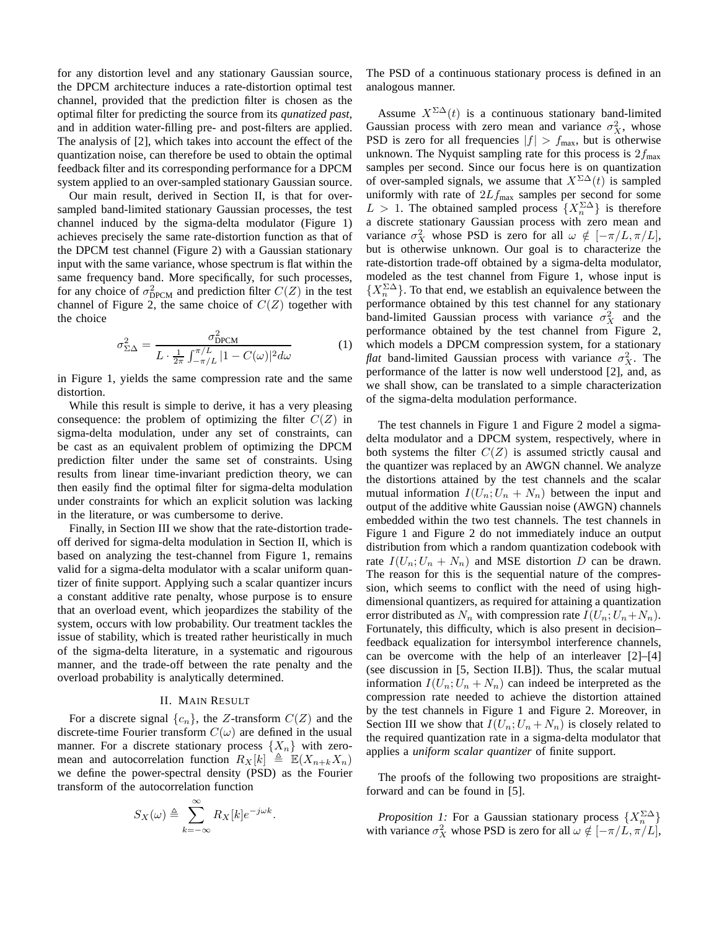for any distortion level and any stationary Gaussian source, the DPCM architecture induces a rate-distortion optimal test channel, provided that the prediction filter is chosen as the optimal filter for predicting the source from its *qunatized past*, and in addition water-filling pre- and post-filters are applied. The analysis of [2], which takes into account the effect of the quantization noise, can therefore be used to obtain the optimal feedback filter and its corresponding performance for a DPCM system applied to an over-sampled stationary Gaussian source.

Our main result, derived in Section II, is that for oversampled band-limited stationary Gaussian processes, the test channel induced by the sigma-delta modulator (Figure 1) achieves precisely the same rate-distortion function as that of the DPCM test channel (Figure 2) with a Gaussian stationary input with the same variance, whose spectrum is flat within the same frequency band. More specifically, for such processes, for any choice of  $\sigma_{\text{DPCM}}^2$  and prediction filter  $C(Z)$  in the test channel of Figure 2, the same choice of  $C(Z)$  together with the choice

$$
\sigma_{\Sigma\Delta}^2 = \frac{\sigma_{\text{DPCM}}^2}{L \cdot \frac{1}{2\pi} \int_{-\pi/L}^{\pi/L} |1 - C(\omega)|^2 d\omega}
$$
(1)

in Figure 1, yields the same compression rate and the same distortion.

While this result is simple to derive, it has a very pleasing consequence: the problem of optimizing the filter  $C(Z)$  in sigma-delta modulation, under any set of constraints, can be cast as an equivalent problem of optimizing the DPCM prediction filter under the same set of constraints. Using results from linear time-invariant prediction theory, we can then easily find the optimal filter for sigma-delta modulation under constraints for which an explicit solution was lacking in the literature, or was cumbersome to derive.

Finally, in Section III we show that the rate-distortion tradeoff derived for sigma-delta modulation in Section II, which is based on analyzing the test-channel from Figure 1, remains valid for a sigma-delta modulator with a scalar uniform quantizer of finite support. Applying such a scalar quantizer incurs a constant additive rate penalty, whose purpose is to ensure that an overload event, which jeopardizes the stability of the system, occurs with low probability. Our treatment tackles the issue of stability, which is treated rather heuristically in much of the sigma-delta literature, in a systematic and rigourous manner, and the trade-off between the rate penalty and the overload probability is analytically determined.

### II. MAIN RESULT

For a discrete signal  $\{c_n\}$ , the Z-transform  $C(Z)$  and the discrete-time Fourier transform  $C(\omega)$  are defined in the usual manner. For a discrete stationary process  $\{X_n\}$  with zeromean and autocorrelation function  $R_X[k] \triangleq \mathbb{E}(X_{n+k}X_n)$ we define the power-spectral density (PSD) as the Fourier transform of the autocorrelation function

$$
S_X(\omega) \triangleq \sum_{k=-\infty}^{\infty} R_X[k] e^{-j\omega k}.
$$

The PSD of a continuous stationary process is defined in an analogous manner.

Assume  $X^{\Sigma\Delta}(t)$  is a continuous stationary band-limited Gaussian process with zero mean and variance  $\sigma_X^2$ , whose PSD is zero for all frequencies  $|f| > f_{\text{max}}$ , but is otherwise unknown. The Nyquist sampling rate for this process is  $2f_{\text{max}}$ samples per second. Since our focus here is on quantization of over-sampled signals, we assume that  $X^{\Sigma\Delta}(t)$  is sampled uniformly with rate of  $2Lf_{\text{max}}$  samples per second for some  $L > 1$ . The obtained sampled process  $\{X_n^{\Sigma\Delta}\}\$ is therefore a discrete stationary Gaussian process with zero mean and variance  $\sigma_X^2$  whose PSD is zero for all  $\omega \notin [-\pi/L, \pi/L]$ , but is otherwise unknown. Our goal is to characterize the rate-distortion trade-off obtained by a sigma-delta modulator, modeled as the test channel from Figure 1, whose input is  $\{X_n^{\Sigma\Delta}\}\.$  To that end, we establish an equivalence between the performance obtained by this test channel for any stationary band-limited Gaussian process with variance  $\sigma_X^2$  and the performance obtained by the test channel from Figure 2, which models a DPCM compression system, for a stationary *flat* band-limited Gaussian process with variance  $\sigma_X^2$ . The performance of the latter is now well understood [2], and, as we shall show, can be translated to a simple characterization of the sigma-delta modulation performance.

The test channels in Figure 1 and Figure 2 model a sigmadelta modulator and a DPCM system, respectively, where in both systems the filter  $C(Z)$  is assumed strictly causal and the quantizer was replaced by an AWGN channel. We analyze the distortions attained by the test channels and the scalar mutual information  $I(U_n; U_n + N_n)$  between the input and output of the additive white Gaussian noise (AWGN) channels embedded within the two test channels. The test channels in Figure 1 and Figure 2 do not immediately induce an output distribution from which a random quantization codebook with rate  $I(U_n; U_n + N_n)$  and MSE distortion D can be drawn. The reason for this is the sequential nature of the compression, which seems to conflict with the need of using highdimensional quantizers, as required for attaining a quantization error distributed as  $N_n$  with compression rate  $I(U_n; U_n+N_n)$ . Fortunately, this difficulty, which is also present in decision– feedback equalization for intersymbol interference channels, can be overcome with the help of an interleaver [2]–[4] (see discussion in [5, Section II.B]). Thus, the scalar mutual information  $I(U_n; U_n + N_n)$  can indeed be interpreted as the compression rate needed to achieve the distortion attained by the test channels in Figure 1 and Figure 2. Moreover, in Section III we show that  $I(U_n; U_n + N_n)$  is closely related to the required quantization rate in a sigma-delta modulator that applies a *uniform scalar quantizer* of finite support.

The proofs of the following two propositions are straightforward and can be found in [5].

*Proposition 1:* For a Gaussian stationary process  $\{X_n^{\Sigma\Delta}\}\$ with variance  $\sigma_X^2$  whose PSD is zero for all  $\omega \notin [-\pi/L, \pi/L]$ ,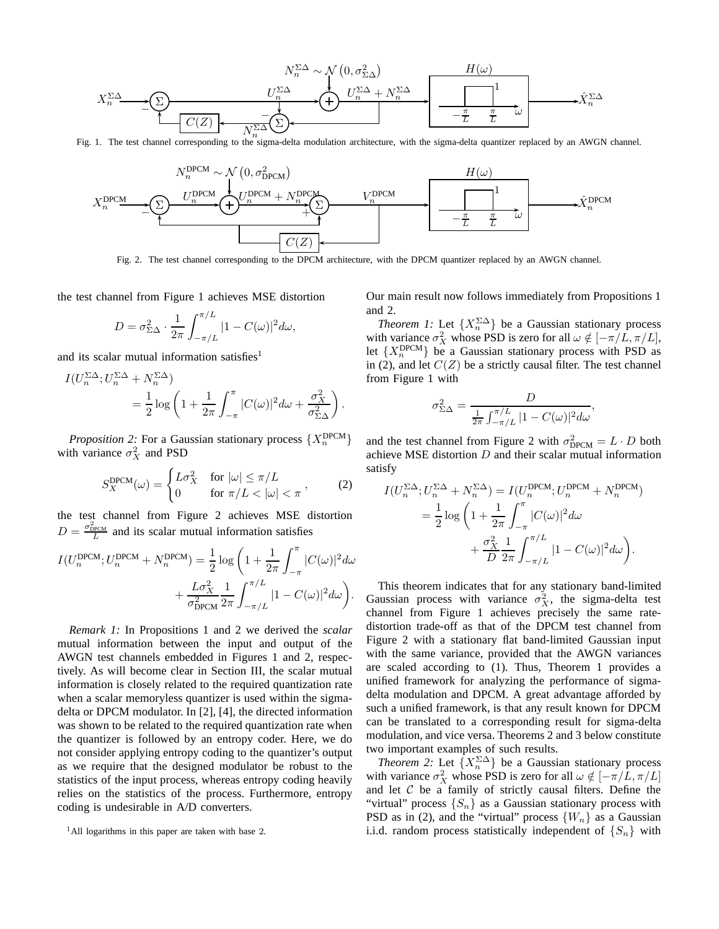

Fig. 1. The test channel corresponding to the sigma-delta modulation architecture, with the sigma-delta quantizer replaced by an AWGN channel.



Fig. 2. The test channel corresponding to the DPCM architecture, with the DPCM quantizer replaced by an AWGN channel.

the test channel from Figure 1 achieves MSE distortion

$$
D = \sigma_{\Sigma\Delta}^2 \cdot \frac{1}{2\pi} \int_{-\pi/L}^{\pi/L} |1 - C(\omega)|^2 d\omega,
$$

and its scalar mutual information satisfies<sup>1</sup>

$$
I(U_n^{\Sigma\Delta}; U_n^{\Sigma\Delta} + N_n^{\Sigma\Delta})
$$
  
=  $\frac{1}{2}$ log  $\left(1 + \frac{1}{2\pi} \int_{-\pi}^{\pi} |C(\omega)|^2 d\omega + \frac{\sigma_X^2}{\sigma_{\Sigma\Delta}^2}\right)$ .

*Proposition 2:* For a Gaussian stationary process  $\{X_n^{\text{DPCM}}\}$ with variance  $\sigma_X^2$  and PSD

$$
S_X^{\text{DPCM}}(\omega) = \begin{cases} L\sigma_X^2 & \text{for } |\omega| \le \pi/L \\ 0 & \text{for } \pi/L < |\omega| < \pi \end{cases} \tag{2}
$$

the test channel from Figure 2 achieves MSE distortion  $D = \frac{\sigma_{\text{DecM}}^2}{L}$  and its scalar mutual information satisfies

$$
\begin{split} I(U^{\text{DPCM}}_n; U^{\text{DPCM}}_n + N^{\text{DPCM}}_n) &= \frac{1}{2}\log\bigg(1+\frac{1}{2\pi}\int_{-\pi}^{\pi}|C(\omega)|^2d\omega \\ &\qquad + \frac{L\sigma_X^2}{\sigma_{\text{DPCM}}^2}\frac{1}{2\pi}\int_{-\pi/L}^{\pi/L}|1-C(\omega)|^2d\omega\bigg). \end{split}
$$

*Remark 1:* In Propositions 1 and 2 we derived the *scalar* mutual information between the input and output of the AWGN test channels embedded in Figures 1 and 2, respectively. As will become clear in Section III, the scalar mutual information is closely related to the required quantization rate when a scalar memoryless quantizer is used within the sigmadelta or DPCM modulator. In [2], [4], the directed information was shown to be related to the required quantization rate when the quantizer is followed by an entropy coder. Here, we do not consider applying entropy coding to the quantizer's output as we require that the designed modulator be robust to the statistics of the input process, whereas entropy coding heavily relies on the statistics of the process. Furthermore, entropy coding is undesirable in A/D converters.

Our main result now follows immediately from Propositions 1 and 2.

*Theorem 1:* Let  $\{X_n^{\Sigma\Delta}\}\)$  be a Gaussian stationary process with variance  $\sigma_X^2$  whose PSD is zero for all  $\omega \notin [-\pi/L, \pi/L]$ , let  $\{X_n^{\text{DPCM}}\}$  be a Gaussian stationary process with PSD as in (2), and let  $C(Z)$  be a strictly causal filter. The test channel from Figure 1 with

$$
\sigma_{\Sigma\Delta}^2 = \frac{D}{\frac{1}{2\pi} \int_{-\pi/L}^{\pi/L} |1 - C(\omega)|^2 d\omega},
$$

and the test channel from Figure 2 with  $\sigma_{\text{DPCM}}^2 = L \cdot D$  both achieve MSE distortion  $D$  and their scalar mutual information satisfy

$$
\begin{split} I(U_n^{\Sigma\Delta}; U_n^{\Sigma\Delta}+N_n^{\Sigma\Delta})&=I(U_n^{\text{DPCM}}; U_n^{\text{DPCM}}+N_n^{\text{DPCM}})\\ &=\frac{1}{2}\log\bigg(1+\frac{1}{2\pi}\int_{-\pi}^{\pi}|C(\omega)|^2d\omega\\ &+\frac{\sigma_X^2}{D}\frac{1}{2\pi}\int_{-\pi/L}^{\pi/L}|1-C(\omega)|^2d\omega\bigg). \end{split}
$$

This theorem indicates that for any stationary band-limited Gaussian process with variance  $\sigma_X^2$ , the sigma-delta test channel from Figure 1 achieves precisely the same ratedistortion trade-off as that of the DPCM test channel from Figure 2 with a stationary flat band-limited Gaussian input with the same variance, provided that the AWGN variances are scaled according to (1). Thus, Theorem 1 provides a unified framework for analyzing the performance of sigmadelta modulation and DPCM. A great advantage afforded by such a unified framework, is that any result known for DPCM can be translated to a corresponding result for sigma-delta modulation, and vice versa. Theorems 2 and 3 below constitute two important examples of such results.

*Theorem 2:* Let  $\{X_n^{\Sigma\Delta}\}\)$  be a Gaussian stationary process with variance  $\sigma_X^2$  whose PSD is zero for all  $\omega \notin [-\pi/L, \pi/L]$ and let  $C$  be a family of strictly causal filters. Define the "virtual" process  $\{S_n\}$  as a Gaussian stationary process with PSD as in (2), and the "virtual" process  $\{W_n\}$  as a Gaussian i.i.d. random process statistically independent of  $\{S_n\}$  with

<sup>&</sup>lt;sup>1</sup>All logarithms in this paper are taken with base 2.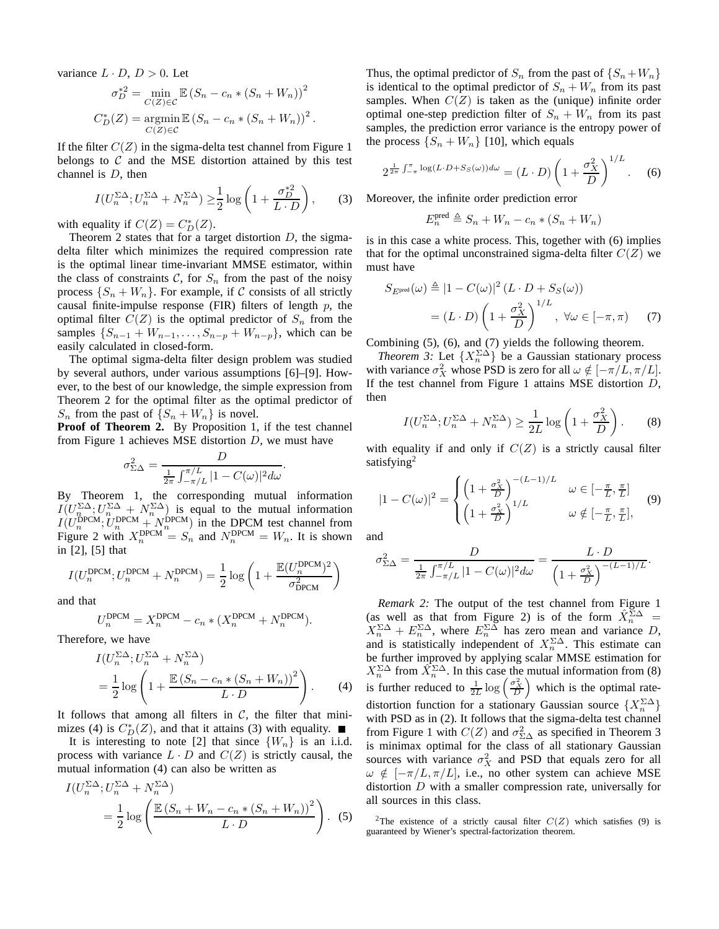variance  $L \cdot D$ ,  $D > 0$ . Let

$$
\sigma_D^{*2} = \min_{C(Z) \in C} \mathbb{E} (S_n - c_n * (S_n + W_n))^2
$$
  

$$
C_D^*(Z) = \operatorname*{argmin}_{C(Z) \in C} \mathbb{E} (S_n - c_n * (S_n + W_n))^2.
$$

If the filter  $C(Z)$  in the sigma-delta test channel from Figure 1 belongs to  $C$  and the MSE distortion attained by this test channel is D, then

$$
I(U_n^{\Sigma \Delta}; U_n^{\Sigma \Delta} + N_n^{\Sigma \Delta}) \ge \frac{1}{2} \log \left( 1 + \frac{\sigma_D^{*2}}{L \cdot D} \right), \qquad (3)
$$

with equality if  $C(Z) = C_D^*(Z)$ .

Theorem 2 states that for a target distortion  $D$ , the sigmadelta filter which minimizes the required compression rate is the optimal linear time-invariant MMSE estimator, within the class of constraints  $C$ , for  $S_n$  from the past of the noisy process  $\{S_n + W_n\}$ . For example, if C consists of all strictly causal finite-impulse response (FIR) filters of length  $p$ , the optimal filter  $C(Z)$  is the optimal predictor of  $S_n$  from the samples  $\{S_{n-1} + W_{n-1}, \ldots, S_{n-p} + W_{n-p}\}$ , which can be easily calculated in closed-form.

The optimal sigma-delta filter design problem was studied by several authors, under various assumptions [6]–[9]. However, to the best of our knowledge, the simple expression from Theorem 2 for the optimal filter as the optimal predictor of  $S_n$  from the past of  $\{S_n + W_n\}$  is novel.

**Proof of Theorem 2.** By Proposition 1, if the test channel from Figure 1 achieves MSE distortion  $D$ , we must have

$$
\sigma_{\Sigma\Delta}^2 = \frac{D}{\frac{1}{2\pi} \int_{-\pi/L}^{\pi/L} |1 - C(\omega)|^2 d\omega}.
$$

By Theorem 1, the corresponding mutual information  $I(U_{n}^{\Sigma\Delta}; U_{n}^{\Sigma\Delta} + N_{n}^{\Sigma\Delta})$  is equal to the mutual information  $I(U_n^{\text{DPCM}}; U_n^{\text{DPCM}} + N_n^{\text{DPCM}})$  in the DPCM test channel from Figure 2 with  $X_n^{\text{DPCM}} = S_n$  and  $N_n^{\text{DPCM}} = W_n$ . It is shown in [2], [5] that

$$
I(U_n^{\text{DPCM}}; U_n^{\text{DPCM}} + N_n^{\text{DPCM}}) = \frac{1}{2} \log \left( 1 + \frac{\mathbb{E}(U_n^{\text{DPCM}})^2}{\sigma_{\text{DPCM}}^2} \right)
$$

and that

$$
U_n^{\text{DPCM}} = X_n^{\text{DPCM}} - c_n * (X_n^{\text{DPCM}} + N_n^{\text{DPCM}}).
$$

Therefore, we have

$$
I(U_n^{\Sigma \Delta}; U_n^{\Sigma \Delta} + N_n^{\Sigma \Delta})
$$
  
=  $\frac{1}{2} \log \left( 1 + \frac{\mathbb{E} (S_n - c_n * (S_n + W_n))^2}{L \cdot D} \right)$ . (4)

It follows that among all filters in  $C$ , the filter that minimizes (4) is  $C_D^*(Z)$ , and that it attains (3) with equality.

It is interesting to note [2] that since  $\{W_n\}$  is an i.i.d. process with variance  $L \cdot D$  and  $C(Z)$  is strictly causal, the mutual information (4) can also be written as

$$
I(U_n^{\Sigma \Delta}; U_n^{\Sigma \Delta} + N_n^{\Sigma \Delta})
$$
  
=  $\frac{1}{2} \log \left( \frac{\mathbb{E} (S_n + W_n - c_n * (S_n + W_n))^2}{L \cdot D} \right)$ . (5)

Thus, the optimal predictor of  $S_n$  from the past of  $\{S_n+W_n\}$ is identical to the optimal predictor of  $S_n + W_n$  from its past samples. When  $C(Z)$  is taken as the (unique) infinite order optimal one-step prediction filter of  $S_n + W_n$  from its past samples, the prediction error variance is the entropy power of the process  $\{S_n + W_n\}$  [10], which equals

$$
2^{\frac{1}{2\pi}\int_{-\pi}^{\pi}\log(L\cdot D+S_S(\omega))d\omega} = (L\cdot D)\left(1+\frac{\sigma_X^2}{D}\right)^{1/L}.\tag{6}
$$

Moreover, the infinite order prediction error

$$
E_n^{\text{pred}} \triangleq S_n + W_n - c_n * (S_n + W_n)
$$

is in this case a white process. This, together with (6) implies that for the optimal unconstrained sigma-delta filter  $C(Z)$  we must have

$$
S_{E^{\text{pred}}}(\omega) \triangleq |1 - C(\omega)|^2 (L \cdot D + S_S(\omega))
$$
  
=  $(L \cdot D) \left(1 + \frac{\sigma_X^2}{D}\right)^{1/L}, \forall \omega \in [-\pi, \pi)$  (7)

Combining (5), (6), and (7) yields the following theorem.

*Theorem 3:* Let  $\{X_n^{\Sigma\Delta}\}\)$  be a Gaussian stationary process with variance  $\sigma_X^2$  whose PSD is zero for all  $\omega \notin [-\pi/L, \pi/L]$ . If the test channel from Figure 1 attains MSE distortion D, then

$$
I(U_n^{\Sigma \Delta}; U_n^{\Sigma \Delta} + N_n^{\Sigma \Delta}) \ge \frac{1}{2L} \log \left( 1 + \frac{\sigma_X^2}{D} \right). \tag{8}
$$

with equality if and only if  $C(Z)$  is a strictly causal filter satisfying<sup>2</sup>

$$
|1 - C(\omega)|^2 = \begin{cases} \left(1 + \frac{\sigma_X^2}{D}\right)^{-(L-1)/L} & \omega \in [-\frac{\pi}{L}, \frac{\pi}{L}]\\ \left(1 + \frac{\sigma_X^2}{D}\right)^{1/L} & \omega \notin [-\frac{\pi}{L}, \frac{\pi}{L}], \end{cases}
$$
(9)

and

$$
\sigma_{\Sigma\Delta}^2 = \frac{D}{\frac{1}{2\pi} \int_{-\pi/L}^{\pi/L} |1 - C(\omega)|^2 d\omega} = \frac{L \cdot D}{\left(1 + \frac{\sigma_X^2}{D}\right)^{-(L-1)/L}}.
$$

*Remark 2:* The output of the test channel from Figure 1 (as well as that from Figure 2) is of the form  $\hat{X}_n^{\Sigma \Delta}$  =  $X_n^{\Sigma\Delta} + E_n^{\Sigma\Delta}$ , where  $E_n^{\Sigma\Delta}$  has zero mean and variance D, and is statistically independent of  $X_n^{\Sigma \Delta}$ . This estimate can be further improved by applying scalar MMSE estimation for  $X_n^{\Sigma\Delta}$  from  $\hat{X}_n^{\Sigma\Delta}$ . In this case the mutual information from (8) is further reduced to  $\frac{1}{2L} \log \left( \frac{\sigma_X^2}{D} \right)$  which is the optimal ratedistortion function for a stationary Gaussian source  $\{X_n^{\Sigma\Delta}\}\$ with PSD as in (2). It follows that the sigma-delta test channel from Figure 1 with  $C(Z)$  and  $\sigma_{\Sigma\Delta}^2$  as specified in Theorem 3 is minimax optimal for the class of all stationary Gaussian sources with variance  $\sigma_X^2$  and PSD that equals zero for all  $\omega \notin [-\pi/L, \pi/L]$ , i.e., no other system can achieve MSE distortion  $D$  with a smaller compression rate, universally for all sources in this class.

<sup>2</sup>The existence of a strictly causal filter  $C(Z)$  which satisfies (9) is guaranteed by Wiener's spectral-factorization theorem.